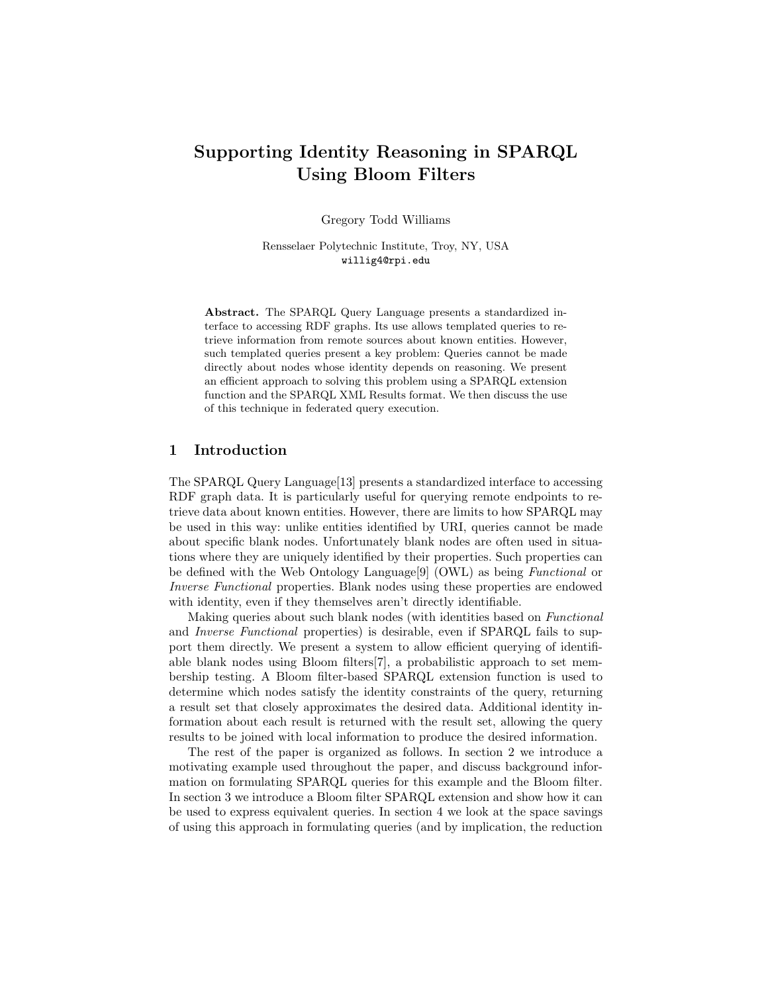# Supporting Identity Reasoning in SPARQL Using Bloom Filters

Gregory Todd Williams

Rensselaer Polytechnic Institute, Troy, NY, USA willig4@rpi.edu

Abstract. The SPARQL Query Language presents a standardized interface to accessing RDF graphs. Its use allows templated queries to retrieve information from remote sources about known entities. However, such templated queries present a key problem: Queries cannot be made directly about nodes whose identity depends on reasoning. We present an efficient approach to solving this problem using a SPARQL extension function and the SPARQL XML Results format. We then discuss the use of this technique in federated query execution.

## 1 Introduction

The SPARQL Query Language[13] presents a standardized interface to accessing RDF graph data. It is particularly useful for querying remote endpoints to retrieve data about known entities. However, there are limits to how SPARQL may be used in this way: unlike entities identified by URI, queries cannot be made about specific blank nodes. Unfortunately blank nodes are often used in situations where they are uniquely identified by their properties. Such properties can be defined with the Web Ontology Language[9] (OWL) as being Functional or Inverse Functional properties. Blank nodes using these properties are endowed with identity, even if they themselves aren't directly identifiable.

Making queries about such blank nodes (with identities based on Functional and Inverse Functional properties) is desirable, even if SPARQL fails to support them directly. We present a system to allow efficient querying of identifiable blank nodes using Bloom filters[7], a probabilistic approach to set membership testing. A Bloom filter-based SPARQL extension function is used to determine which nodes satisfy the identity constraints of the query, returning a result set that closely approximates the desired data. Additional identity information about each result is returned with the result set, allowing the query results to be joined with local information to produce the desired information.

The rest of the paper is organized as follows. In section 2 we introduce a motivating example used throughout the paper, and discuss background information on formulating SPARQL queries for this example and the Bloom filter. In section 3 we introduce a Bloom filter SPARQL extension and show how it can be used to express equivalent queries. In section 4 we look at the space savings of using this approach in formulating queries (and by implication, the reduction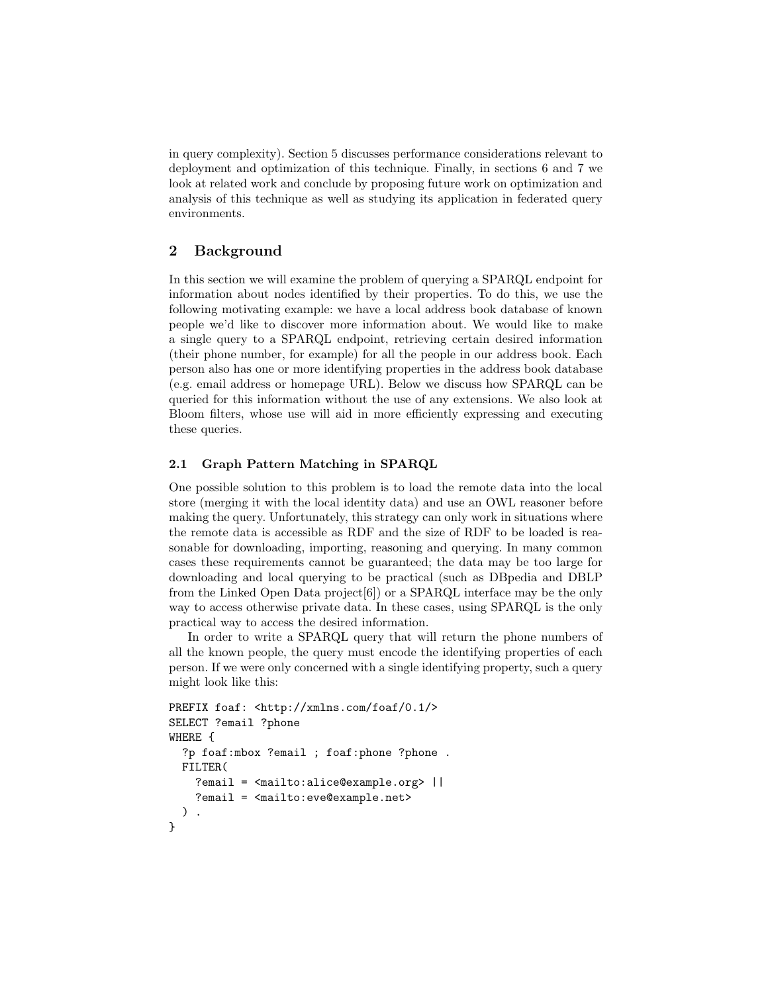in query complexity). Section 5 discusses performance considerations relevant to deployment and optimization of this technique. Finally, in sections 6 and 7 we look at related work and conclude by proposing future work on optimization and analysis of this technique as well as studying its application in federated query environments.

# 2 Background

In this section we will examine the problem of querying a SPARQL endpoint for information about nodes identified by their properties. To do this, we use the following motivating example: we have a local address book database of known people we'd like to discover more information about. We would like to make a single query to a SPARQL endpoint, retrieving certain desired information (their phone number, for example) for all the people in our address book. Each person also has one or more identifying properties in the address book database (e.g. email address or homepage URL). Below we discuss how SPARQL can be queried for this information without the use of any extensions. We also look at Bloom filters, whose use will aid in more efficiently expressing and executing these queries.

### 2.1 Graph Pattern Matching in SPARQL

One possible solution to this problem is to load the remote data into the local store (merging it with the local identity data) and use an OWL reasoner before making the query. Unfortunately, this strategy can only work in situations where the remote data is accessible as RDF and the size of RDF to be loaded is reasonable for downloading, importing, reasoning and querying. In many common cases these requirements cannot be guaranteed; the data may be too large for downloading and local querying to be practical (such as DBpedia and DBLP from the Linked Open Data project[6]) or a SPARQL interface may be the only way to access otherwise private data. In these cases, using SPARQL is the only practical way to access the desired information.

In order to write a SPARQL query that will return the phone numbers of all the known people, the query must encode the identifying properties of each person. If we were only concerned with a single identifying property, such a query might look like this:

```
PREFIX foaf: <http://xmlns.com/foaf/0.1/>
SELECT ?email ?phone
WHERE {
  ?p foaf:mbox ?email ; foaf:phone ?phone .
 FILTER(
    ?email = <mailto:alice@example.org> ||
    ?email = <mailto:eve@example.net>
  ) .
}
```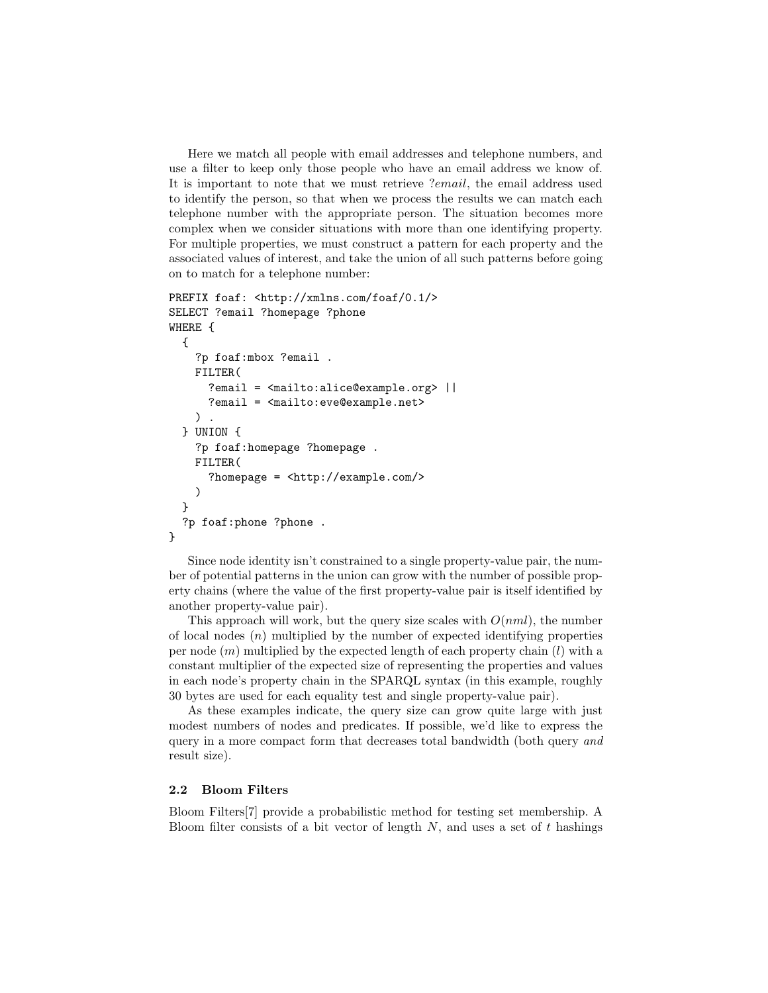Here we match all people with email addresses and telephone numbers, and use a filter to keep only those people who have an email address we know of. It is important to note that we must retrieve ?email, the email address used to identify the person, so that when we process the results we can match each telephone number with the appropriate person. The situation becomes more complex when we consider situations with more than one identifying property. For multiple properties, we must construct a pattern for each property and the associated values of interest, and take the union of all such patterns before going on to match for a telephone number:

```
PREFIX foaf: <http://xmlns.com/foaf/0.1/>
SELECT ?email ?homepage ?phone
WHERE {
  {
    ?p foaf:mbox ?email .
    FILTER(
      ?email = <mailto:alice@example.org> | |
      ?email = <mailto:eve@example.net>
    ).
  } UNION {
    ?p foaf:homepage ?homepage .
    FILTER(
      ?homepage = <http://example.com/>
    )
  }
  ?p foaf:phone ?phone .
}
```
Since node identity isn't constrained to a single property-value pair, the number of potential patterns in the union can grow with the number of possible property chains (where the value of the first property-value pair is itself identified by another property-value pair).

This approach will work, but the query size scales with  $O(nml)$ , the number of local nodes  $(n)$  multiplied by the number of expected identifying properties per node  $(m)$  multiplied by the expected length of each property chain  $(l)$  with a constant multiplier of the expected size of representing the properties and values in each node's property chain in the SPARQL syntax (in this example, roughly 30 bytes are used for each equality test and single property-value pair).

As these examples indicate, the query size can grow quite large with just modest numbers of nodes and predicates. If possible, we'd like to express the query in a more compact form that decreases total bandwidth (both query and result size).

#### 2.2 Bloom Filters

Bloom Filters[7] provide a probabilistic method for testing set membership. A Bloom filter consists of a bit vector of length  $N$ , and uses a set of  $t$  hashings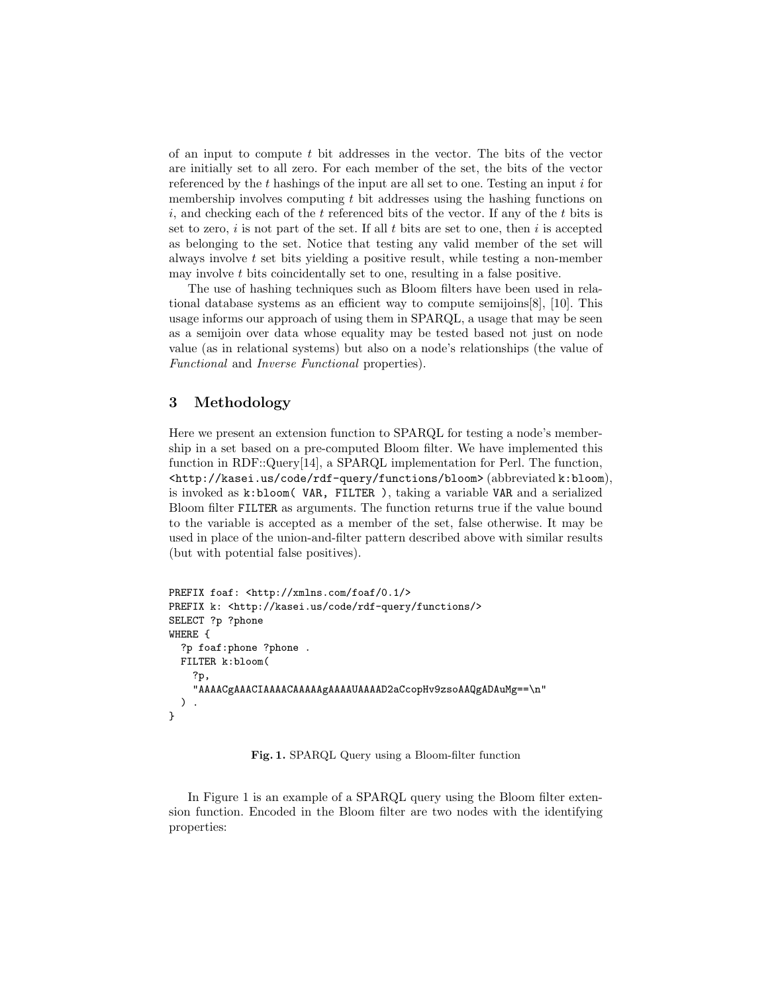of an input to compute  $t$  bit addresses in the vector. The bits of the vector are initially set to all zero. For each member of the set, the bits of the vector referenced by the  $t$  hashings of the input are all set to one. Testing an input  $i$  for membership involves computing  $t$  bit addresses using the hashing functions on  $i$ , and checking each of the t referenced bits of the vector. If any of the t bits is set to zero, i is not part of the set. If all  $t$  bits are set to one, then i is accepted as belonging to the set. Notice that testing any valid member of the set will always involve t set bits yielding a positive result, while testing a non-member may involve  $t$  bits coincidentally set to one, resulting in a false positive.

The use of hashing techniques such as Bloom filters have been used in relational database systems as an efficient way to compute semijoins[8], [10]. This usage informs our approach of using them in SPARQL, a usage that may be seen as a semijoin over data whose equality may be tested based not just on node value (as in relational systems) but also on a node's relationships (the value of Functional and Inverse Functional properties).

# 3 Methodology

Here we present an extension function to SPARQL for testing a node's membership in a set based on a pre-computed Bloom filter. We have implemented this function in RDF::Query[14], a SPARQL implementation for Perl. The function, <http://kasei.us/code/rdf-query/functions/bloom> (abbreviated k:bloom), is invoked as k:bloom( VAR, FILTER ), taking a variable VAR and a serialized Bloom filter FILTER as arguments. The function returns true if the value bound to the variable is accepted as a member of the set, false otherwise. It may be used in place of the union-and-filter pattern described above with similar results (but with potential false positives).

```
PREFIX foaf: <http://xmlns.com/foaf/0.1/>
PREFIX k: <http://kasei.us/code/rdf-query/functions/>
SELECT ?p ?phone
WHERE {
  ?p foaf:phone ?phone .
 FILTER k:bloom(
    ?p,
    "AAAACgAAACIAAAACAAAAAgAAAAUAAAAD2aCcopHv9zsoAAQgADAuMg==\n"
 ) .
}
```
Fig. 1. SPARQL Query using a Bloom-filter function

In Figure 1 is an example of a SPARQL query using the Bloom filter extension function. Encoded in the Bloom filter are two nodes with the identifying properties: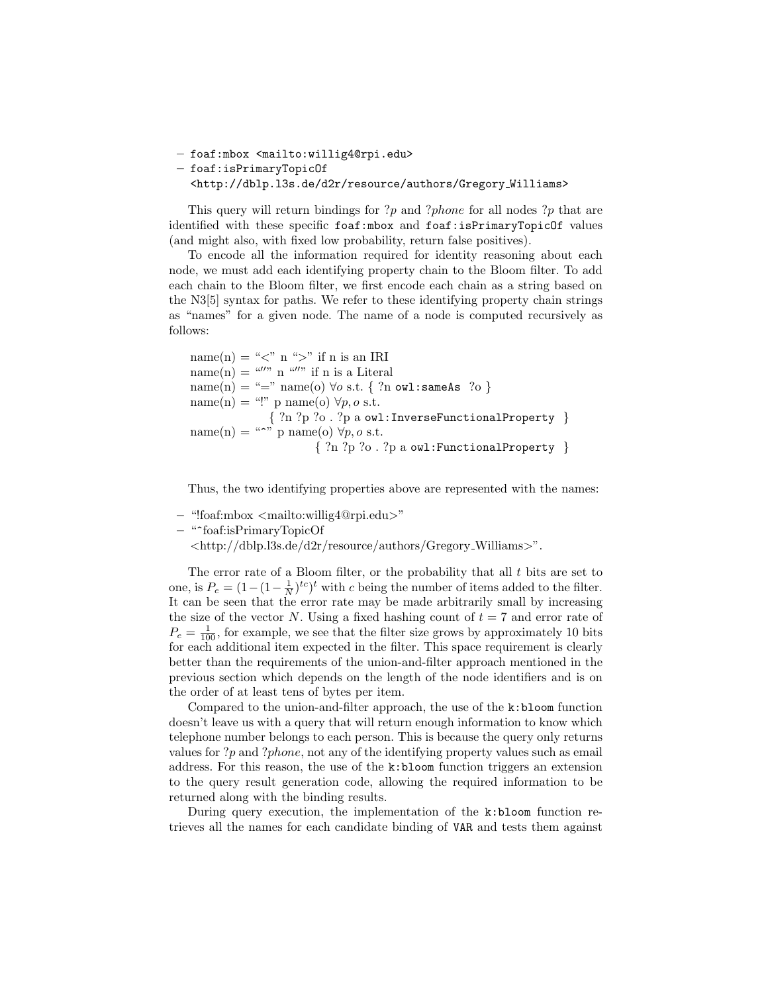– foaf:mbox <mailto:willig4@rpi.edu>

```
– foaf:isPrimaryTopicOf
```
<http://dblp.l3s.de/d2r/resource/authors/Gregory Williams>

This query will return bindings for ?p and ?phone for all nodes ?p that are identified with these specific foaf:mbox and foaf:isPrimaryTopicOf values (and might also, with fixed low probability, return false positives).

To encode all the information required for identity reasoning about each node, we must add each identifying property chain to the Bloom filter. To add each chain to the Bloom filter, we first encode each chain as a string based on the N3[5] syntax for paths. We refer to these identifying property chain strings as "names" for a given node. The name of a node is computed recursively as follows:

name(n) = "<" n ">" if n is an IRI  $name(n) = "'''" n "'''"$  if n is a Literal  $name(n) = "="name(o) \forall o s.t. \{ ?n owl: sameAs ?o \}$ name(n) = "!" p name(o)  $\forall p, o \text{ s.t.}$ { ?n ?p ?o . ?p a owl:InverseFunctionalProperty }  $name(n) = "^" parame(o) \forall p, o \text{ s.t.}$ { ?n ?p ?o . ?p a owl:FunctionalProperty }

Thus, the two identifying properties above are represented with the names:

- "!foaf:mbox <mailto:willig4@rpi.edu>"
- "^foaf:isPrimaryTopicOf
	- <http://dblp.l3s.de/d2r/resource/authors/Gregory Williams>".

The error rate of a Bloom filter, or the probability that all  $t$  bits are set to one, is  $P_e = (1 - (1 - \frac{1}{N})^{tc})^t$  with c being the number of items added to the filter. It can be seen that the error rate may be made arbitrarily small by increasing the size of the vector N. Using a fixed hashing count of  $t = 7$  and error rate of  $P_e = \frac{1}{100}$ , for example, we see that the filter size grows by approximately 10 bits for each additional item expected in the filter. This space requirement is clearly better than the requirements of the union-and-filter approach mentioned in the previous section which depends on the length of the node identifiers and is on the order of at least tens of bytes per item.

Compared to the union-and-filter approach, the use of the k:bloom function doesn't leave us with a query that will return enough information to know which telephone number belongs to each person. This is because the query only returns values for  $?p$  and  $?phone$ , not any of the identifying property values such as email address. For this reason, the use of the k:bloom function triggers an extension to the query result generation code, allowing the required information to be returned along with the binding results.

During query execution, the implementation of the k:bloom function retrieves all the names for each candidate binding of VAR and tests them against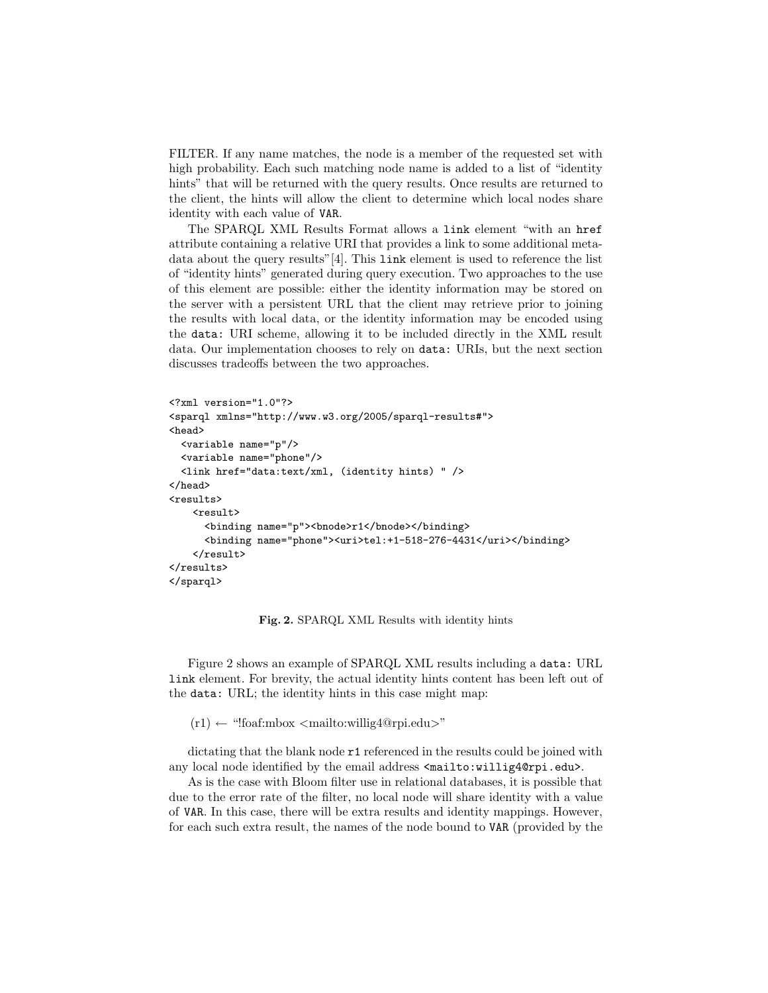FILTER. If any name matches, the node is a member of the requested set with high probability. Each such matching node name is added to a list of "identity hints" that will be returned with the query results. Once results are returned to the client, the hints will allow the client to determine which local nodes share identity with each value of VAR.

The SPARQL XML Results Format allows a link element "with an href attribute containing a relative URI that provides a link to some additional metadata about the query results"[4]. This link element is used to reference the list of "identity hints" generated during query execution. Two approaches to the use of this element are possible: either the identity information may be stored on the server with a persistent URL that the client may retrieve prior to joining the results with local data, or the identity information may be encoded using the data: URI scheme, allowing it to be included directly in the XML result data. Our implementation chooses to rely on data: URIs, but the next section discusses tradeoffs between the two approaches.

```
<?xml version="1.0"?>
<sparql xmlns="http://www.w3.org/2005/sparql-results#">
<head>
  <variable name="p"/>
  <variable name="phone"/>
  <link href="data:text/xml, (identity hints) " />
</head>
<results>
    <result>
      <binding name="p"><bnode>r1</bnode></binding>
      <binding name="phone"><uri>tel:+1-518-276-4431</uri></binding>
    \langle/result>
\langle/results>
</sparql>
```
Fig. 2. SPARQL XML Results with identity hints

Figure 2 shows an example of SPARQL XML results including a data: URL link element. For brevity, the actual identity hints content has been left out of the data: URL; the identity hints in this case might map:

 $(r1) \leftarrow$  "!foaf:mbox <mailto:willig4@rpi.edu>"

dictating that the blank node  $r1$  referenced in the results could be joined with any local node identified by the email address  $\epsilon$ mailto:willig4@rpi.edu>.

As is the case with Bloom filter use in relational databases, it is possible that due to the error rate of the filter, no local node will share identity with a value of VAR. In this case, there will be extra results and identity mappings. However, for each such extra result, the names of the node bound to VAR (provided by the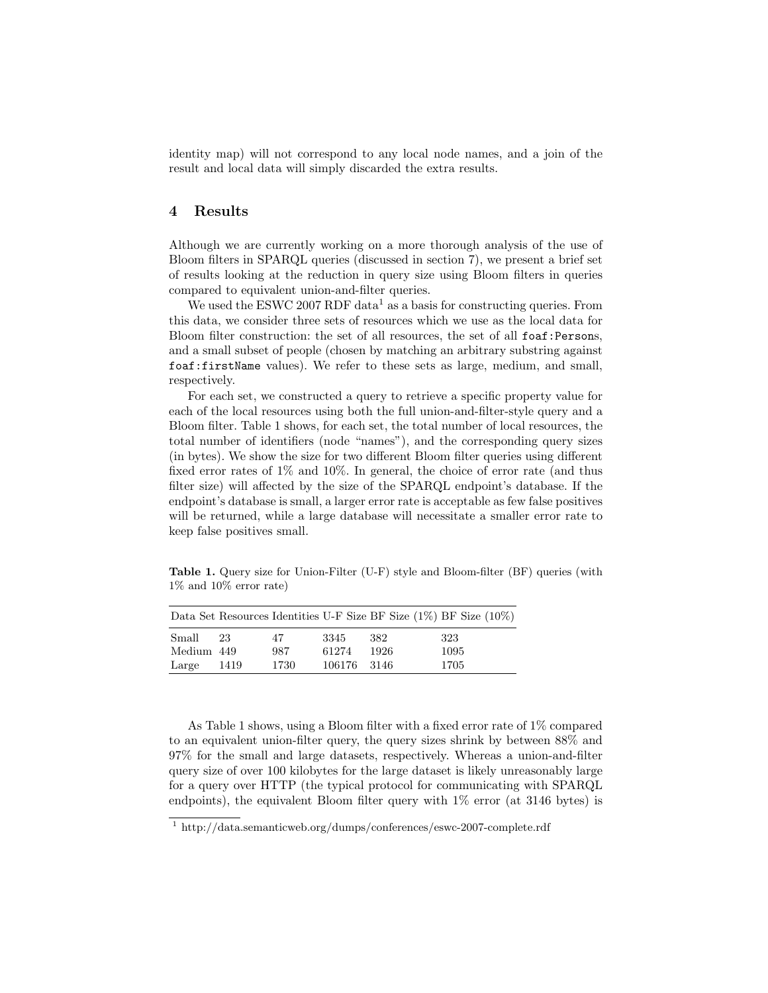identity map) will not correspond to any local node names, and a join of the result and local data will simply discarded the extra results.

#### 4 Results

Although we are currently working on a more thorough analysis of the use of Bloom filters in SPARQL queries (discussed in section 7), we present a brief set of results looking at the reduction in query size using Bloom filters in queries compared to equivalent union-and-filter queries.

We used the ESWC 2007 RDF data<sup>1</sup> as a basis for constructing queries. From this data, we consider three sets of resources which we use as the local data for Bloom filter construction: the set of all resources, the set of all foaf:Persons, and a small subset of people (chosen by matching an arbitrary substring against foaf:firstName values). We refer to these sets as large, medium, and small, respectively.

For each set, we constructed a query to retrieve a specific property value for each of the local resources using both the full union-and-filter-style query and a Bloom filter. Table 1 shows, for each set, the total number of local resources, the total number of identifiers (node "names"), and the corresponding query sizes (in bytes). We show the size for two different Bloom filter queries using different fixed error rates of 1% and 10%. In general, the choice of error rate (and thus filter size) will affected by the size of the SPARQL endpoint's database. If the endpoint's database is small, a larger error rate is acceptable as few false positives will be returned, while a large database will necessitate a smaller error rate to keep false positives small.

Table 1. Query size for Union-Filter (U-F) style and Bloom-filter (BF) queries (with 1% and 10% error rate)

|            |      |      |             |      | Data Set Resources Identities U-F Size BF Size $(1\%)$ BF Size $(10\%)$ |
|------------|------|------|-------------|------|-------------------------------------------------------------------------|
| Small      | 23   | 47   | 3345        | 382  | 323                                                                     |
| Medium 449 |      | 987  | 61274       | 1926 | 1095                                                                    |
| Large      | 1419 | 1730 | 106176 3146 |      | 1705                                                                    |

As Table 1 shows, using a Bloom filter with a fixed error rate of 1% compared to an equivalent union-filter query, the query sizes shrink by between 88% and 97% for the small and large datasets, respectively. Whereas a union-and-filter query size of over 100 kilobytes for the large dataset is likely unreasonably large for a query over HTTP (the typical protocol for communicating with SPARQL endpoints), the equivalent Bloom filter query with 1% error (at 3146 bytes) is

<sup>1</sup> http://data.semanticweb.org/dumps/conferences/eswc-2007-complete.rdf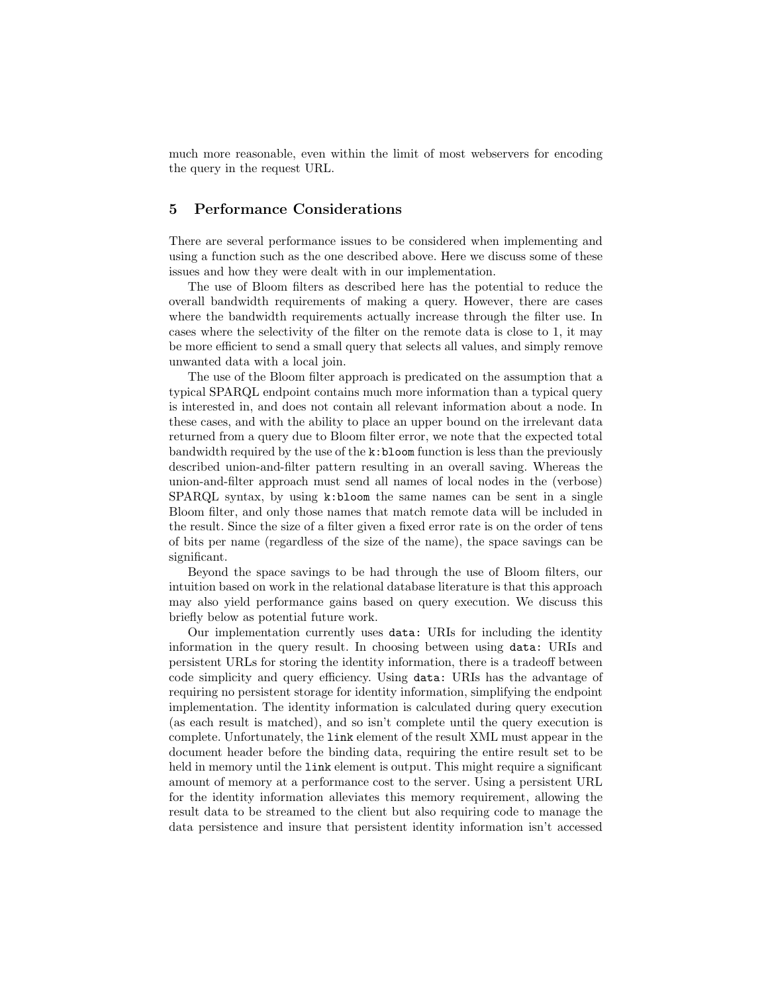much more reasonable, even within the limit of most webservers for encoding the query in the request URL.

# 5 Performance Considerations

There are several performance issues to be considered when implementing and using a function such as the one described above. Here we discuss some of these issues and how they were dealt with in our implementation.

The use of Bloom filters as described here has the potential to reduce the overall bandwidth requirements of making a query. However, there are cases where the bandwidth requirements actually increase through the filter use. In cases where the selectivity of the filter on the remote data is close to 1, it may be more efficient to send a small query that selects all values, and simply remove unwanted data with a local join.

The use of the Bloom filter approach is predicated on the assumption that a typical SPARQL endpoint contains much more information than a typical query is interested in, and does not contain all relevant information about a node. In these cases, and with the ability to place an upper bound on the irrelevant data returned from a query due to Bloom filter error, we note that the expected total bandwidth required by the use of the k:bloom function is less than the previously described union-and-filter pattern resulting in an overall saving. Whereas the union-and-filter approach must send all names of local nodes in the (verbose) SPARQL syntax, by using k:bloom the same names can be sent in a single Bloom filter, and only those names that match remote data will be included in the result. Since the size of a filter given a fixed error rate is on the order of tens of bits per name (regardless of the size of the name), the space savings can be significant.

Beyond the space savings to be had through the use of Bloom filters, our intuition based on work in the relational database literature is that this approach may also yield performance gains based on query execution. We discuss this briefly below as potential future work.

Our implementation currently uses data: URIs for including the identity information in the query result. In choosing between using data: URIs and persistent URLs for storing the identity information, there is a tradeoff between code simplicity and query efficiency. Using data: URIs has the advantage of requiring no persistent storage for identity information, simplifying the endpoint implementation. The identity information is calculated during query execution (as each result is matched), and so isn't complete until the query execution is complete. Unfortunately, the link element of the result XML must appear in the document header before the binding data, requiring the entire result set to be held in memory until the link element is output. This might require a significant amount of memory at a performance cost to the server. Using a persistent URL for the identity information alleviates this memory requirement, allowing the result data to be streamed to the client but also requiring code to manage the data persistence and insure that persistent identity information isn't accessed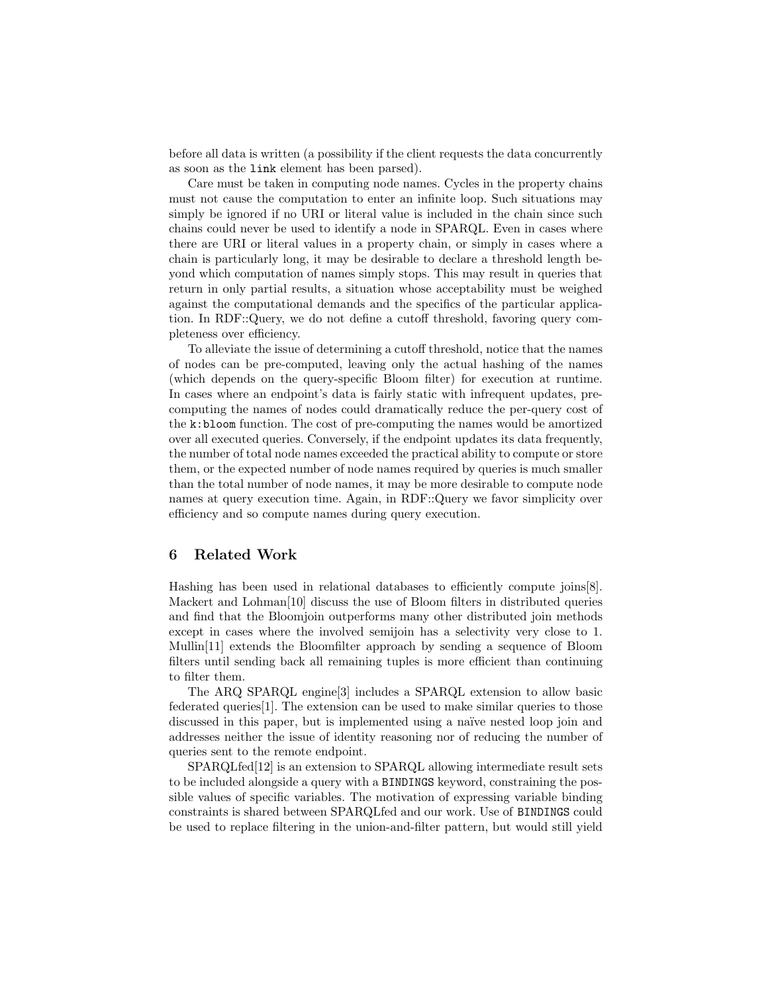before all data is written (a possibility if the client requests the data concurrently as soon as the link element has been parsed).

Care must be taken in computing node names. Cycles in the property chains must not cause the computation to enter an infinite loop. Such situations may simply be ignored if no URI or literal value is included in the chain since such chains could never be used to identify a node in SPARQL. Even in cases where there are URI or literal values in a property chain, or simply in cases where a chain is particularly long, it may be desirable to declare a threshold length beyond which computation of names simply stops. This may result in queries that return in only partial results, a situation whose acceptability must be weighed against the computational demands and the specifics of the particular application. In RDF::Query, we do not define a cutoff threshold, favoring query completeness over efficiency.

To alleviate the issue of determining a cutoff threshold, notice that the names of nodes can be pre-computed, leaving only the actual hashing of the names (which depends on the query-specific Bloom filter) for execution at runtime. In cases where an endpoint's data is fairly static with infrequent updates, precomputing the names of nodes could dramatically reduce the per-query cost of the k:bloom function. The cost of pre-computing the names would be amortized over all executed queries. Conversely, if the endpoint updates its data frequently, the number of total node names exceeded the practical ability to compute or store them, or the expected number of node names required by queries is much smaller than the total number of node names, it may be more desirable to compute node names at query execution time. Again, in RDF::Query we favor simplicity over efficiency and so compute names during query execution.

## 6 Related Work

Hashing has been used in relational databases to efficiently compute joins[8]. Mackert and Lohman[10] discuss the use of Bloom filters in distributed queries and find that the Bloomjoin outperforms many other distributed join methods except in cases where the involved semijoin has a selectivity very close to 1. Mullin[11] extends the Bloomfilter approach by sending a sequence of Bloom filters until sending back all remaining tuples is more efficient than continuing to filter them.

The ARQ SPARQL engine[3] includes a SPARQL extension to allow basic federated queries[1]. The extension can be used to make similar queries to those discussed in this paper, but is implemented using a na¨ıve nested loop join and addresses neither the issue of identity reasoning nor of reducing the number of queries sent to the remote endpoint.

SPARQLfed[12] is an extension to SPARQL allowing intermediate result sets to be included alongside a query with a BINDINGS keyword, constraining the possible values of specific variables. The motivation of expressing variable binding constraints is shared between SPARQLfed and our work. Use of BINDINGS could be used to replace filtering in the union-and-filter pattern, but would still yield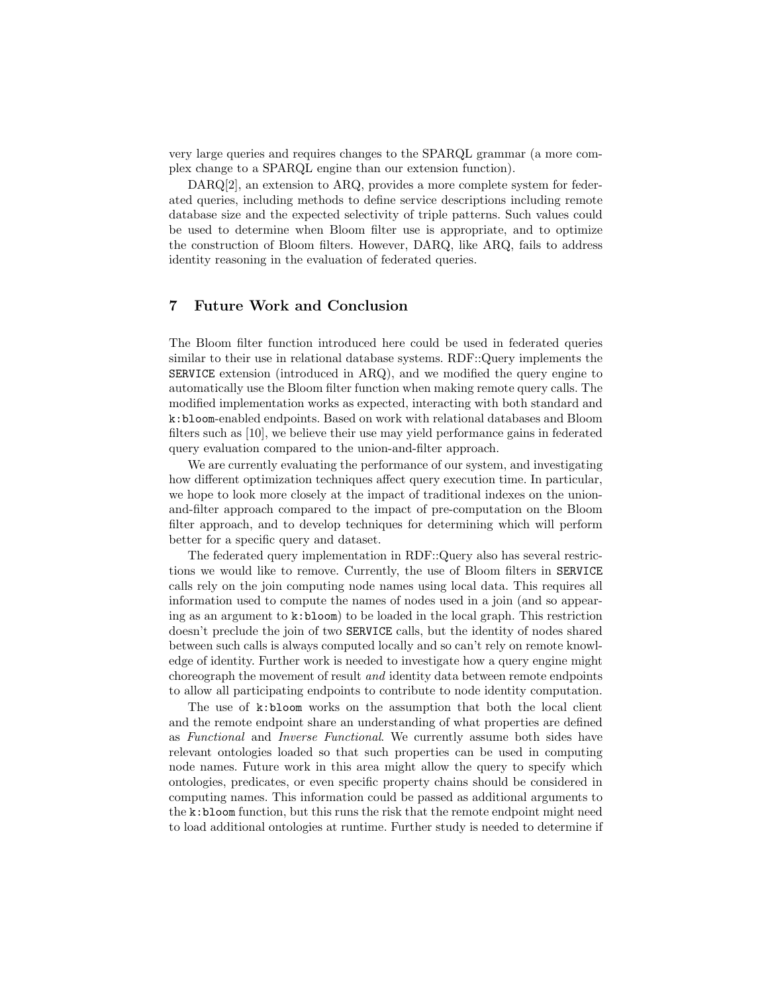very large queries and requires changes to the SPARQL grammar (a more complex change to a SPARQL engine than our extension function).

DARQ[2], an extension to ARQ, provides a more complete system for federated queries, including methods to define service descriptions including remote database size and the expected selectivity of triple patterns. Such values could be used to determine when Bloom filter use is appropriate, and to optimize the construction of Bloom filters. However, DARQ, like ARQ, fails to address identity reasoning in the evaluation of federated queries.

## 7 Future Work and Conclusion

The Bloom filter function introduced here could be used in federated queries similar to their use in relational database systems. RDF::Query implements the SERVICE extension (introduced in ARQ), and we modified the query engine to automatically use the Bloom filter function when making remote query calls. The modified implementation works as expected, interacting with both standard and k:bloom-enabled endpoints. Based on work with relational databases and Bloom filters such as [10], we believe their use may yield performance gains in federated query evaluation compared to the union-and-filter approach.

We are currently evaluating the performance of our system, and investigating how different optimization techniques affect query execution time. In particular, we hope to look more closely at the impact of traditional indexes on the unionand-filter approach compared to the impact of pre-computation on the Bloom filter approach, and to develop techniques for determining which will perform better for a specific query and dataset.

The federated query implementation in RDF::Query also has several restrictions we would like to remove. Currently, the use of Bloom filters in SERVICE calls rely on the join computing node names using local data. This requires all information used to compute the names of nodes used in a join (and so appearing as an argument to  $k:bloom$  to be loaded in the local graph. This restriction doesn't preclude the join of two SERVICE calls, but the identity of nodes shared between such calls is always computed locally and so can't rely on remote knowledge of identity. Further work is needed to investigate how a query engine might choreograph the movement of result and identity data between remote endpoints to allow all participating endpoints to contribute to node identity computation.

The use of k:bloom works on the assumption that both the local client and the remote endpoint share an understanding of what properties are defined as Functional and Inverse Functional. We currently assume both sides have relevant ontologies loaded so that such properties can be used in computing node names. Future work in this area might allow the query to specify which ontologies, predicates, or even specific property chains should be considered in computing names. This information could be passed as additional arguments to the k:bloom function, but this runs the risk that the remote endpoint might need to load additional ontologies at runtime. Further study is needed to determine if